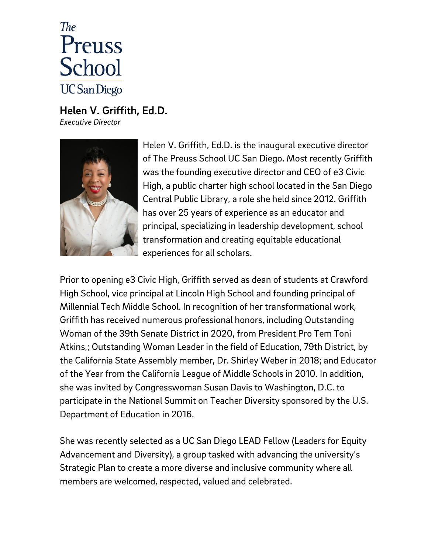

Helen V. Griffith, Ed.D. *Executive Director*



Helen V. Griffith, Ed.D. is the inaugural executive director of The Preuss School UC San Diego. Most recently Griffith was the founding executive director and CEO of е3 Civic High, a public charter high school located in the San Diego Central Public Library, a role she held since 2012. Griffith has over 25 years of experience as an educator and principal, specializing in leadership development, school transformation and creating equitable educational experiences for all scholars.

Prior to opening e3 Civic High, Griffith served as dean of students at Crawford High School, vice principal at Lincoln High School and founding principal of Millennial Tech Middle School. In recognition of her transformational work, Griffith has received numerous professional honors, including Outstanding Woman of the 39th Senate District in 2020, from President Pro Tem Toni Atkins,; Outstanding Woman Leader in the field of Education, 79th District, by the California State Assembly member, Dr. Shirley Weber in 2018; and Educator of the Year from the California League of Middle Schools in 2010. In addition, she was invited by Congresswoman Susan Davis to Washington, D.C. to participate in the National Summit on Teacher Diversity sponsored by the U.S. Department of Education in 2016.

She was recently selected as a UC San Diego LEAD Fellow (Leaders for Equity Advancement and Diversity), a group tasked with advancing the university's Strategic Plan to create a more diverse and inclusive community where all members are welcomed, respected, valued and celebrated.